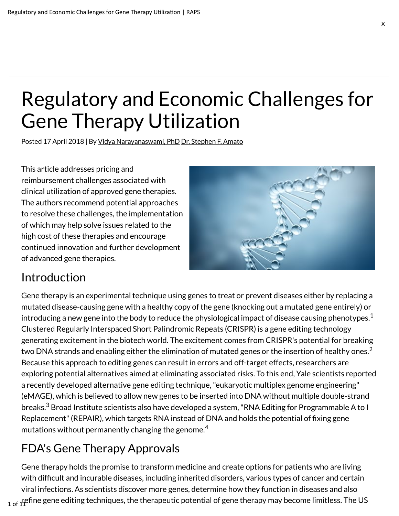# Regulatory and Economic Challenges for Gene Therapy Utilization

Posted 17 April 2018 | By Vidya Narayanaswami, PhD Dr. Stephen F. Amato

This article addresses pricing and reimbursement challenges associated with clinical utilization of approved gene therapies. The authors recommend potential approaches to resolve these challenges, the implementation of which may help solve issues related to the high cost of these therapies and encourage continued innovation and further development of advanced gene therapies.



#### Introduction

Gene therapy is an experimental technique using genes to treat or prevent diseases either by replacing a mutated disease-causing gene with a healthy copy of the gene (knocking out a mutated gene entirely) or introducing a new gene into the body to reduce the physiological impact of disease causing phenotypes. $^{\rm 1}$ Clustered Regularly Interspaced Short Palindromic Repeats (CRISPR) is a gene editing technology generating excitement in the biotech world. The excitement comes from CRISPR's potential for breaking two DNA strands and enabling either the elimination of mutated genes or the insertion of healthy ones. $^{\rm 2}$ Because this approach to editing genes can result in errors and off-target effects, researchers are exploring potential alternatives aimed at eliminating associated risks. To this end, Yale scientists reported a recently developed alternative gene editing technique, "eukaryotic multiplex genome engineering" (eMAGE), which is believed to allow new genes to be inserted into DNA without multiple double-strand breaks. $^3$  Broad Institute scientists also have developed a system, "RNA Editing for Programmable A to I Replacement" (REPAIR), which targets RNA instead of DNA and holds the potential of fixing gene mutations without permanently changing the genome. $^{\rm 4}$ 

### FDA's Gene Therapy Approvals

Gene therapy holds the promise to transform medicine and create options for patients who are living with difficult and incurable diseases, including inherited disorders, various types of cancer and certain viral infections. As scientists discover more genes, determine how they function in diseases and also  $_{\rm 1\, of\, 1}$ fefine gene editing techniques, the therapeutic potential of gene therapy may become limitless. The US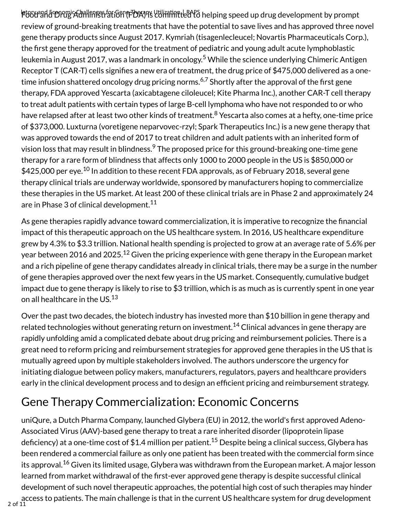**Ftood and Economic Administration (FDA) is Utilizatique RAPS** helping speed up drug development by prompt review of ground-breaking treatments that have the potential to save lives and has approved three novel gene therapy products since August 2017. Kymriah (tisagenlecleucel; Novartis Pharmaceuticals Corp.), the first gene therapy approved for the treatment of pediatric and young adult acute lymphoblastic leukemia in August 2017, was a landmark in oncology.<sup>5</sup> While the science underlying Chimeric Antigen Receptor T (CAR-T) cells signifies a new era of treatment, the drug price of \$475,000 delivered as a onetime infusion shattered oncology drug pricing norms. $\rm ^{6,7}$  Shortly after the approval of the first gene therapy, FDA approved Yescarta (axicabtagene ciloleucel; Kite Pharma Inc.), another CAR-T cell therapy to treat adult patients with certain types of large B-cell lymphoma who have not responded to or who have relapsed after at least two other kinds of treatment.<sup>8</sup> Yescarta also comes at a hefty, one-time price of \$373,000. Luxturna (voretigene neparvovec-rzyl; Spark Therapeutics Inc.) is a new gene therapy that was approved towards the end of 2017 to treat children and adult patients with an inherited form of vision loss that may result in blindness. $^9$  The proposed price for this ground-breaking one-time gene therapy for a rare form of blindness that affects only 1000 to 2000 people in the US is \$850,000 or  $\$425,\!000$  per eye. $^{10}$  In addition to these recent FDA approvals, as of February 2018, several gene therapy clinical trials are underway worldwide, sponsored by manufacturers hoping to commercialize these therapies in the US market. At least 200 of these clinical trials are in Phase 2 and approximately 24 are in Phase 3 of clinical development. $^{\rm 11}$ 

As gene therapies rapidly advance toward commercialization, it is imperative to recognize the financial impact of this therapeutic approach on the US healthcare system. In 2016, US healthcare expenditure grew by 4.3% to \$3.3 trillion. National health spending is projected to grow at an average rate of 5.6% per year between 2016 and 2025. $^{\rm 12}$  Given the pricing experience with gene therapy in the European market and a rich pipeline of gene therapy candidates already in clinical trials, there may be a surge in the number of gene therapies approved over the next few years in the US market. Consequently, cumulative budget impact due to gene therapy is likely to rise to \$3 trillion, which is as much as is currently spent in one year on all healthcare in the US. $^{\rm 13}$ 

Over the past two decades, the biotech industry has invested more than \$10 billion in gene therapy and related technologies without generating return on investment. $^\mathrm{14}$  Clinical advances in gene therapy are rapidly unfolding amid a complicated debate about drug pricing and reimbursement policies. There is a great need to reform pricing and reimbursement strategies for approved gene therapies in the US that is mutually agreed upon by multiple stakeholders involved. The authors underscore the urgency for initiating dialogue between policy makers, manufacturers, regulators, payers and healthcare providers early in the clinical development process and to design an efficient pricing and reimbursement strategy.

### Gene Therapy Commercialization: Economic Concerns

uniQure, a Dutch Pharma Company, launched Glybera (EU) in 2012, the world's first approved Adeno-Associated Virus (AAV)-based gene therapy to treat a rare inherited disorder (lipoprotein lipase deficiency) at a one-time cost of \$1.4 million per patient. $^{15}$  Despite being a clinical success, Glybera has been rendered a commercial failure as only one patient has been treated with the commercial form since its approval.<sup>16</sup> Given its limited usage, Glybera was withdrawn from the European market. A major lesson learned from market withdrawal of the first-ever approved gene therapy is despite successful clinical development of such novel therapeutic approaches, the potential high cost of such therapies may hinder access to patients. The main challenge is that in the current US healthcare system for drug development<br>2 of 11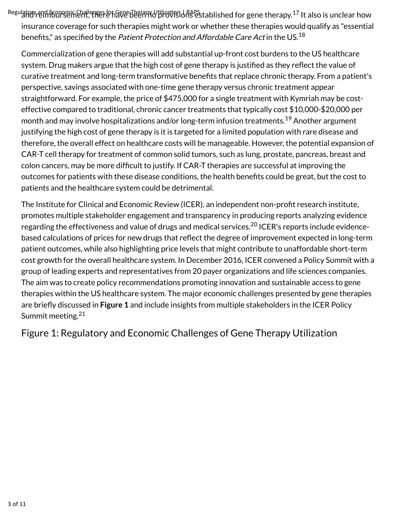$R$ egulatory and fiscinomic Challenges for ୱିଅଟ Been ମଧ୍ୟ ଆୟୋଥି ଗାଣ୍ଡ ନିକେ Patablished for gene therapy. $^{17}$  It also is unclear how insurance coverage for such therapies might work or whether these therapies would qualify as "essential benefits," as specified by the *Patient Protection and Affordable Care Act* in the US.<sup>18</sup>

Commercialization of gene therapies will add substantial up-front cost burdens to the US healthcare system. Drug makers argue that the high cost of gene therapy is justified as they reflect the value of curative treatment and long-term transformative benefits that replace chronic therapy. From a patient's perspective, savings associated with one-time gene therapy versus chronic treatment appear straightforward. For example, the price of \$475,000 for a single treatment with Kymriah may be costeffective compared to traditional, chronic cancer treatments that typically cost \$10,000-\$20,000 per month and may involve hospitalizations and/or long-term infusion treatments. $^{19}$  Another argument justifying the high cost of gene therapy is it is targeted for a limited population with rare disease and therefore, the overall effect on healthcare costs will be manageable. However, the potential expansion of CAR-T cell therapy for treatment of common solid tumors, such as lung, prostate, pancreas, breast and colon cancers, may be more difficult to justify. If CAR-T therapies are successful at improving the outcomes for patients with these disease conditions, the health benefits could be great, but the cost to patients and the healthcare system could be detrimental.

The Institute for Clinical and Economic Review (ICER), an independent non-profit research institute, promotes multiple stakeholder engagement and transparency in producing reports analyzing evidence regarding the effectiveness and value of drugs and medical services.<sup>20</sup> ICER's reports include evidencebased calculations of prices for new drugs that reflect the degree of improvement expected in long-term patient outcomes, while also highlighting price levels that might contribute to unaffordable short-term cost growth for the overall healthcare system. In December 2016, ICER convened a Policy Summit with a group of leading experts and representatives from 20 payer organizations and life sciences companies. The aim was to create policy recommendations promoting innovation and sustainable access to gene therapies within the US healthcare system. The major economic challenges presented by gene therapies are briefly discussed in **Figure 1** and include insights from multiple stakeholders in the ICER Policy Summit meeting.<sup>21</sup>

Figure 1: Regulatory and Economic Challenges of Gene Therapy Utilization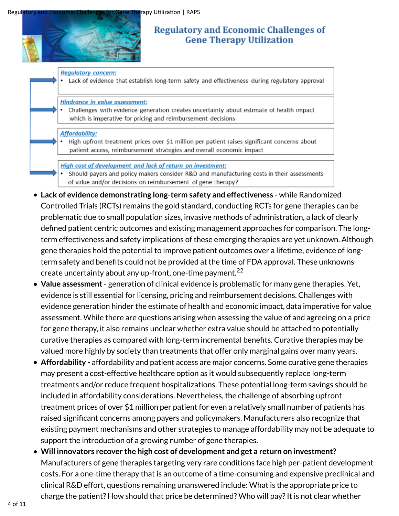

#### **Regulatory and Economic Challenges of Gene Therapy Utilization**

**Regulatory concern:** 

Lack of evidence that establish long-term safety and effectiveness during regulatory approval

Hindrance in value assessment:

Challenges with evidence generation creates uncertainty about estimate of health impact which is imperative for pricing and reimbursement decisions

#### **Affordability:**

High upfront treatment prices over \$1 million per patient raises significant concerns about patient access, reimbursement strategies and overall economic impact

High cost of development and lack of return on investment:

- Should payers and policy makers consider R&D and manufacturing costs in their assessments of value and/or decisions on reimbursement of gene therapy?
- **Lack of evidence demonstrating long-term safety and effectiveness -** while Randomized Controlled Trials (RCTs) remains the gold standard, conducting RCTs for gene therapies can be problematic due to small population sizes, invasive methods of administration, a lack of clearly defined patient centric outcomes and existing management approaches for comparison. The longterm effectiveness and safety implications of these emerging therapies are yet unknown. Although gene therapies hold the potential to improve patient outcomes over a lifetime, evidence of longterm safety and benefits could not be provided at the time of FDA approval. These unknowns create uncertainty about any up-front, one-time payment. $^{22}$
- **Value assessment** generation of clinical evidence is problematic for many gene therapies. Yet, evidence is still essential for licensing, pricing and reimbursement decisions. Challenges with evidence generation hinder the estimate of health and economic impact, data imperative for value assessment. While there are questions arising when assessing the value of and agreeing on a price for gene therapy, it also remains unclear whether extra value should be attached to potentially curative therapies as compared with long-term incremental benefits. Curative therapies may be valued more highly by society than treatments that offer only marginal gains over many years.
- **Affordability -** affordability and patient access are major concerns. Some curative gene therapies may present a cost-effective healthcare option as it would subsequently replace long-term treatments and/or reduce frequent hospitalizations. These potential long-term savings should be included in affordability considerations. Nevertheless, the challenge of absorbing upfront treatment prices of over \$1 million per patient for even a relatively small number of patients has raised significant concerns among payers and policymakers. Manufacturers also recognize that existing payment mechanisms and other strategies to manage affordability may not be adequate to support the introduction of a growing number of gene therapies.
- **Will innovators recover the high cost of development and get a return on investment?** Manufacturers of gene therapies targeting very rare conditions face high per-patient development costs. For a one-time therapy that is an outcome of a time-consuming and expensive preclinical and clinical R&D effort, questions remaining unanswered include: What is the appropriate price to charge the patient? How should that price be determined? Who will pay? It is not clear whether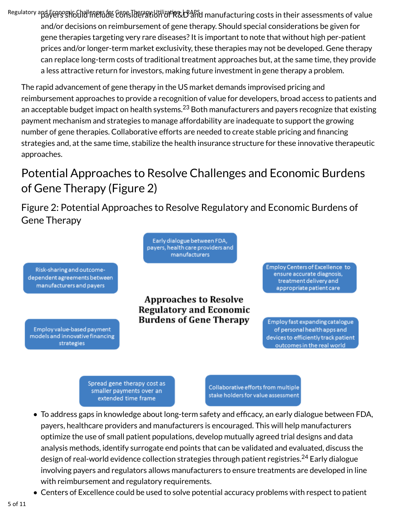Regulatory apd Frenognic Challenger for Gene Therapy Utilization, D<sup>ap</sup>ard manufacturing costs in their assessments of value and/or decisions on reimbursement of gene therapy. Should special considerations be given for gene therapies targeting very rare diseases? It is important to note that without high per-patient prices and/or longer-term market exclusivity, these therapies may not be developed. Gene therapy can replace long-term costs of traditional treatment approaches but, at the same time, they provide a less attractive return for investors, making future investment in gene therapy a problem.

The rapid advancement of gene therapy in the US market demands improvised pricing and reimbursement approaches to provide a recognition of value for developers, broad access to patients and an acceptable budget impact on health systems. $^{23}$  Both manufacturers and payers recognize that existing payment mechanism and strategies to manage affordability are inadequate to support the growing number of gene therapies. Collaborative efforts are needed to create stable pricing and financing strategies and, at the same time, stabilize the health insurance structure for these innovative therapeutic approaches.

### Potential Approaches to Resolve Challenges and Economic Burdens of Gene Therapy (Figure 2)

Figure 2: Potential Approaches to Resolve Regulatory and Economic Burdens of Gene Therapy

> Early dialogue between FDA, payers, health care providers and manufacturers

Risk-sharing and outcomedependent agreements between manufacturers and payers

Employ value-based payment models and innovative financing strategies

**Approaches to Resolve Regulatory and Economic Burdens of Gene Therapy** 

Employ Centers of Excellence to ensure accurate diagnosis, treatment delivery and appropriate patient care

Employ fast expanding catalogue of personal health apps and devices to efficiently track patient outcomes in the real world

Spread gene therapy cost as smaller payments over an extended time frame

Collaborative efforts from multiple stake holders for value assessment

- To address gaps in knowledge about long-term safety and efficacy, an early dialogue between FDA, payers, healthcare providers and manufacturers is encouraged. This will help manufacturers optimize the use of small patient populations, develop mutually agreed trial designs and data analysis methods, identify surrogate end points that can be validated and evaluated, discuss the design of real-world evidence collection strategies through patient registries.<sup>24</sup> Early dialogue involving payers and regulators allows manufacturers to ensure treatments are developed in line with reimbursement and regulatory requirements.
- Centers of Excellence could be used to solve potential accuracy problems with respect to patient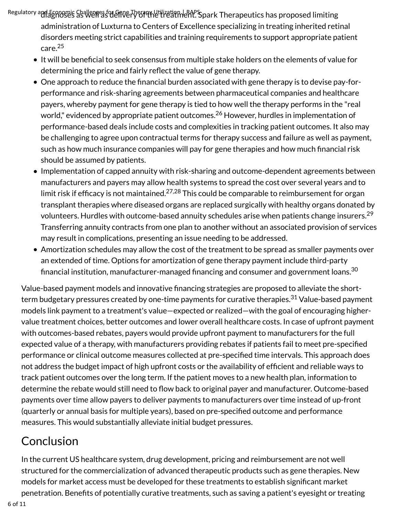Regulatory and Economic Shallenges for Geve Therapy Utilization | RAPS park Therapeutics has proposed limiting administration of Luxturna to Centers of Excellence specializing in treating inherited retinal disorders meeting strict capabilities and training requirements to support appropriate patient care. 25

- It will be beneficial to seek consensus from multiple stake holders on the elements of value for determining the price and fairly reflect the value of gene therapy.
- One approach to reduce the financial burden associated with gene therapy is to devise pay-forperformance and risk-sharing agreements between pharmaceutical companies and healthcare payers, whereby payment for gene therapy is tied to how well the therapy performs in the "real world," evidenced by appropriate patient outcomes.<sup>26</sup> However, hurdles in implementation of performance-based deals include costs and complexities in tracking patient outcomes. It also may be challenging to agree upon contractual terms for therapy success and failure as well as payment, such as how much insurance companies will pay for gene therapies and how much financial risk should be assumed by patients.
- Implementation of capped annuity with risk-sharing and outcome-dependent agreements between manufacturers and payers may allow health systems to spread the cost over several years and to limit risk if efficacy is not maintained. $^{27,28}$  This could be comparable to reimbursement for organ transplant therapies where diseased organs are replaced surgically with healthy organs donated by volunteers. Hurdles with outcome-based annuity schedules arise when patients change insurers. 29 Transferring annuity contracts from one plan to another without an associated provision of services may result in complications, presenting an issue needing to be addressed.
- Amortization schedules may allow the cost of the treatment to be spread as smaller payments over an extended of time. Options for amortization of gene therapy payment include third-party financial institution, manufacturer-managed financing and consumer and government loans. $^{\rm 30}$

Value-based payment models and innovative financing strategies are proposed to alleviate the shortterm budgetary pressures created by one-time payments for curative therapies.<sup>31</sup> Value-based payment models link payment to a treatment's value—expected or realized—with the goal of encouraging highervalue treatment choices, better outcomes and lower overall healthcare costs. In case of upfront payment with outcomes-based rebates, payers would provide upfront payment to manufacturers for the full expected value of a therapy, with manufacturers providing rebates if patients fail to meet pre-specified performance or clinical outcome measures collected at pre-specified time intervals. This approach does not address the budget impact of high upfront costs or the availability of efficient and reliable ways to track patient outcomes over the long term. If the patient moves to a new health plan, information to determine the rebate would still need to flow back to original payer and manufacturer. Outcome-based payments over time allow payers to deliver payments to manufacturers over time instead of up-front (quarterly or annual basis for multiple years), based on pre-specified outcome and performance measures. This would substantially alleviate initial budget pressures.

#### Conclusion

In the current US healthcare system, drug development, pricing and reimbursement are not well structured for the commercialization of advanced therapeutic products such as gene therapies. New models for market access must be developed for these treatments to establish significant market penetration. Benefits of potentially curative treatments, such as saving a patient's eyesight or treating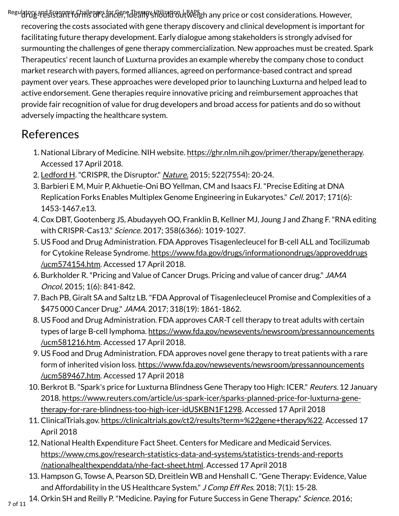Regulatory and Frenomic Ghallenges for Gene Thermy Whilization It Weigh any price or cost considerations. However, recovering the costs associated with gene therapy discovery and clinical development is important for facilitating future therapy development. Early dialogue among stakeholders is strongly advised for surmounting the challenges of gene therapy commercialization. New approaches must be created. Spark Therapeutics' recent launch of Luxturna provides an example whereby the company chose to conduct market research with payers, formed alliances, agreed on performance-based contract and spread payment over years. These approaches were developed prior to launching Luxturna and helped lead to active endorsement. Gene therapies require innovative pricing and reimbursement approaches that provide fair recognition of value for drug developers and broad access for patients and do so without adversely impacting the healthcare system.

#### References

- 1. National Library of Medicine. NIH website. https://ghr.nlm.nih.gov/primer/therapy/genetherapy. Accessed 17 April 2018.
- 2. Ledford H. "CRISPR, the Disruptor." *Nature.* 2015; 522(7554): 20-24.
- 3. Barbieri E M, Muir P, Akhuetie-Oni BO Yellman, CM and Isaacs FJ. "Precise Editing at DNA Replication Forks Enables Multiplex Genome Engineering in Eukaryotes." Cell. 2017; 171(6): 1453-1467.e13.
- 4. Cox DBT, Gootenberg JS, Abudayyeh OO, Franklin B, Kellner MJ, Joung J and Zhang F. "RNA editing with CRISPR-Cas13." Science. 2017; 358(6366): 1019-1027.
- 5. US Food and Drug Administration. FDA Approves Tisagenlecleucel for B-cell ALL and Tocilizumab for Cytokine Release Syndrome. https://www.fda.gov/drugs/informationondrugs/approveddrugs /ucm574154.htm. Accessed 17 April 2018.
- 6. Burkholder R. "Pricing and Value of Cancer Drugs. Pricing and value of cancer drug." JAMA Oncol. 2015; 1(6): 841-842.
- 7. Bach PB, Giralt SA and Saltz LB. "FDA Approval of Tisagenlecleucel Promise and Complexities of a \$475000 Cancer Drug." JAMA. 2017; 318(19): 1861-1862.
- US Food and Drug Administration. FDA approves CAR-T cell therapy to treat adults with certain 8. types of large B-cell lymphoma. https://www.fda.gov/newsevents/newsroom/pressannouncements /ucm581216.htm. Accessed 17 April 2018.
- US Food and Drug Administration. FDA approves novel gene therapy to treat patients with a rare 9. form of inherited vision loss. https://www.fda.gov/newsevents/newsroom/pressannouncements /ucm589467.htm. Accessed 17 April 2018
- 10. Berkrot B. "Spark's price for Luxturna Blindness Gene Therapy too High: ICER." Reuters. 12 January 2018. https://www.reuters.com/article/us-spark-icer/sparks-planned-price-for-luxturna-genetherapy-for-rare-blindness-too-high-icer-idUSKBN1F1298. Accessed 17 April 2018
- 11. ClinicalTrials.gov. https://clinicaltrials.gov/ct2/results?term=%22gene+therapy%22. Accessed 17 April 2018
- 12. National Health Expenditure Fact Sheet. Centers for Medicare and Medicaid Services. https://www.cms.gov/research-statistics-data-and-systems/statistics-trends-and-reports /nationalhealthexpenddata/nhe-fact-sheet.html. Accessed 17 April 2018
- 13. Hampson G, Towse A, Pearson SD, Dreitlein WB and Henshall C. "Gene Therapy: Evidence, Value and Affordability in the US Healthcare System." J Comp Eff Res. 2018; 7(1): 15-28.
- 14. Orkin SH and Reilly P. "Medicine. Paying for Future Success in Gene Therapy." Science. 2016;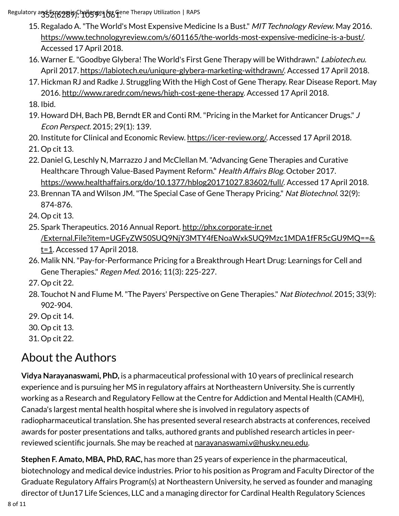Regulatory and Economy Shallenges for Gene Therapy Utilization | RAPS

- 15. Regalado A. "The World's Most Expensive Medicine Is a Bust." MIT Technology Review. May 2016. https://www.technologyreview.com/s/601165/the-worlds-most-expensive-medicine-is-a-bust/. Accessed 17 April 2018.
- 16. Warner E. "Goodbye Glybera! The World's First Gene Therapy will be Withdrawn." Labiotech.eu. April 2017. https://labiotech.eu/uniqure-glybera-marketing-withdrawn/. Accessed 17 April 2018.
- 17. Hickman RJ and Radke J. Struggling With the High Cost of Gene Therapy. Rear Disease Report. May 2016. http://www.raredr.com/news/high-cost-gene-therapy. Accessed 17 April 2018.
- 18. Ibid.
- 19. Howard DH, Bach PB, Berndt ER and Conti RM. "Pricing in the Market for Anticancer Drugs." J Econ Perspect. 2015; 29(1): 139.
- 20. Institute for Clinical and Economic Review. https://icer-review.org/. Accessed 17 April 2018.
- 21. Op cit 13.
- 22. Daniel G, Leschly N, Marrazzo J and McClellan M. "Advancing Gene Therapies and Curative Healthcare Through Value-Based Payment Reform." Health Affairs Blog. October 2017. https://www.healthaffairs.org/do/10.1377/hblog20171027.83602/full/. Accessed 17 April 2018.
- 23. Brennan TA and Wilson JM. "The Special Case of Gene Therapy Pricing." Nat Biotechnol. 32(9): 874-876.
- 24. Op cit 13.
- 25. Spark Therapeutics. 2016 Annual Report. http://phx.corporate-ir.net /External.File?item=UGFyZW50SUQ9NjY3MTY4fENoaWxkSUQ9Mzc1MDA1fFR5cGU9MQ==&  $t=1$ . Accessed 17 April 2018.
- 26. Malik NN. "Pay-for-Performance Pricing for a Breakthrough Heart Drug: Learnings for Cell and Gene Therapies." Regen Med. 2016; 11(3): 225-227.
- 27. Op cit 22.
- 28. Touchot N and Flume M. "The Payers' Perspective on Gene Therapies." Nat Biotechnol. 2015; 33(9): 902-904.
- 29. Op cit 14.
- 30. Op cit 13.
- 31. Op cit 22.

#### About the Authors

**Vidya Narayanaswami, PhD,** is a pharmaceutical professional with 10 years of preclinical research experience and is pursuing her MS in regulatory affairs at Northeastern University. She is currently working as a Research and Regulatory Fellow at the Centre for Addiction and Mental Health (CAMH), Canada's largest mental health hospital where she is involved in regulatory aspects of radiopharmaceutical translation. She has presented several research abstracts at conferences, received awards for poster presentations and talks, authored grants and published research articles in peerreviewed scientific journals. She may be reached at narayanaswami.v@husky.neu.edu.

**Stephen F. Amato, MBA, PhD, RAC,** has more than 25 years of experience in the pharmaceutical, biotechnology and medical device industries. Prior to his position as Program and Faculty Director of the Graduate Regulatory Affairs Program(s) at Northeastern University, he served as founder and managing director of tJun17 Life Sciences, LLC and a managing director for Cardinal Health Regulatory Sciences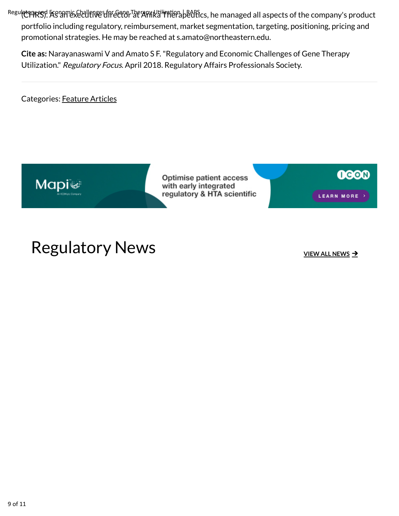RegulatoryR39. As an executive of the Ctor Therapy Utilization Langs. he managed all aspects of the company's product portfolio including regulatory, reimbursement, market segmentation, targeting, positioning, pricing and promotional strategies. He may be reached at s.amato@northeastern.edu.

**Cite as:** Narayanaswami V and Amato S F. "Regulatory and Economic Challenges of Gene Therapy Utilization." Regulatory Focus. April 2018. Regulatory Affairs Professionals Society.

Categories: Feature Articles



Optimise patient access with early integrated regulatory & HTA scientific

**OGOD** LEARN MORE >

## Regulatory News **Internal Control** News 2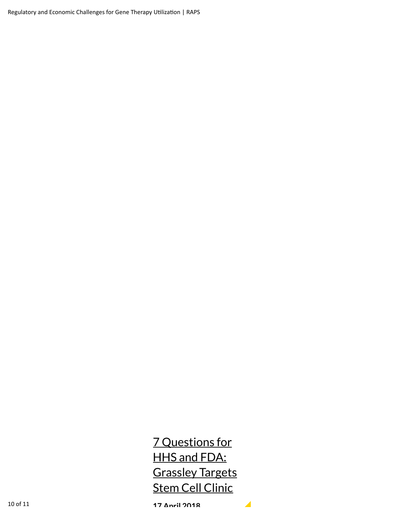Regulatory and Economic Challenges for Gene Therapy Utilization | RAPS

7 Questions for HHS and FDA: Grassley Targets Stem Cell Clinic

 $\blacktriangle$ 

**17 April 2018**